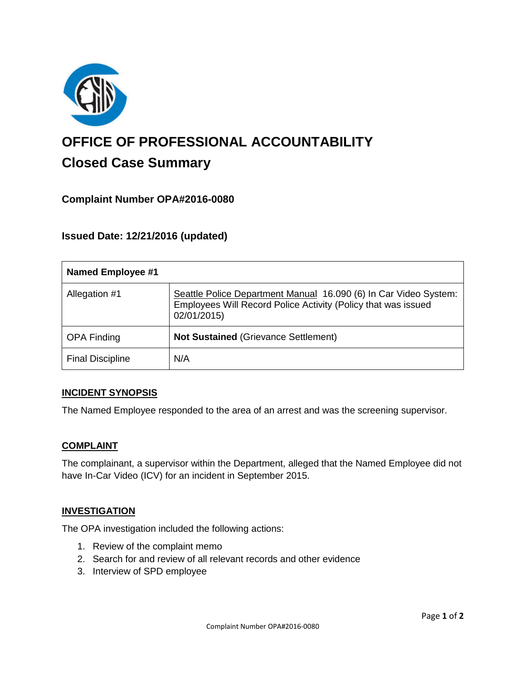

# **OFFICE OF PROFESSIONAL ACCOUNTABILITY Closed Case Summary**

# **Complaint Number OPA#2016-0080**

## **Issued Date: 12/21/2016 (updated)**

| <b>Named Employee #1</b> |                                                                                                                                                  |
|--------------------------|--------------------------------------------------------------------------------------------------------------------------------------------------|
| Allegation #1            | Seattle Police Department Manual 16.090 (6) In Car Video System:<br>Employees Will Record Police Activity (Policy that was issued<br>02/01/2015) |
| <b>OPA Finding</b>       | <b>Not Sustained (Grievance Settlement)</b>                                                                                                      |
| <b>Final Discipline</b>  | N/A                                                                                                                                              |

## **INCIDENT SYNOPSIS**

The Named Employee responded to the area of an arrest and was the screening supervisor.

#### **COMPLAINT**

The complainant, a supervisor within the Department, alleged that the Named Employee did not have In-Car Video (ICV) for an incident in September 2015.

## **INVESTIGATION**

The OPA investigation included the following actions:

- 1. Review of the complaint memo
- 2. Search for and review of all relevant records and other evidence
- 3. Interview of SPD employee